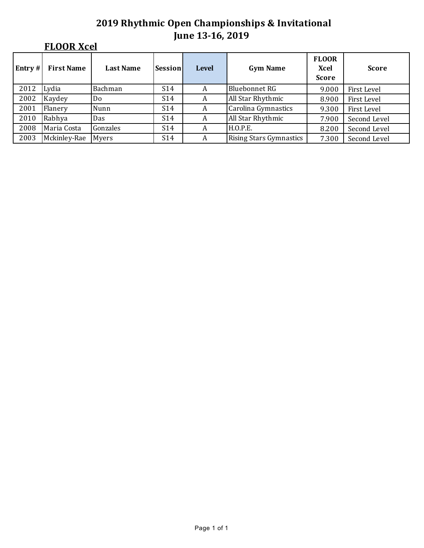# **FLOOR Xcel**

| Entry $#$ | <b>First Name</b> | <b>Last Name</b> | Session         | <b>Level</b> | <b>Gym Name</b>                | <b>FLOOR</b><br>Xcel<br><b>Score</b> | <b>Score</b> |
|-----------|-------------------|------------------|-----------------|--------------|--------------------------------|--------------------------------------|--------------|
| 2012      | Lydia             | Bachman          | S <sub>14</sub> | A            | <b>Bluebonnet RG</b>           | 9.000                                | First Level  |
| 2002      | Kaydey            | Do               | S14             | A            | All Star Rhythmic              | 8.900                                | First Level  |
| 2001      | Flanery           | Nunn             | S14             | A            | Carolina Gymnastics            | 9.300                                | First Level  |
| 2010      | Rabhya            | Das              | S14             | A            | All Star Rhythmic              | 7.900                                | Second Level |
| 2008      | Maria Costa       | Gonzales         | S14             | A            | <b>H.O.P.E.</b>                | 8.200                                | Second Level |
| 2003      | Mckinley-Rae      | Myers            | S <sub>14</sub> | A            | <b>Rising Stars Gymnastics</b> | 7.300                                | Second Level |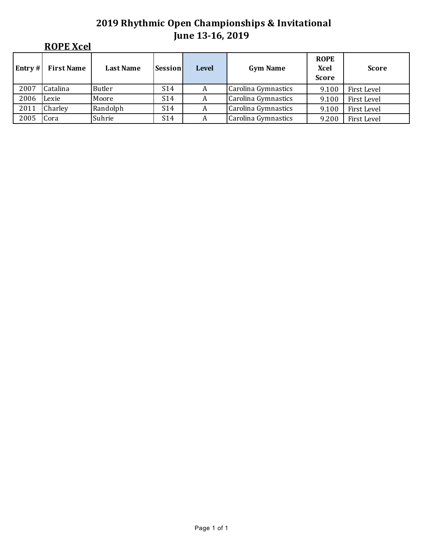|        | <b>ROPE Xcel</b>  |                  |                 |              |                     |                                     |              |  |
|--------|-------------------|------------------|-----------------|--------------|---------------------|-------------------------------------|--------------|--|
| Entry# | <b>First Name</b> | <b>Last Name</b> | Sessionl        | <b>Level</b> | <b>Gym Name</b>     | <b>ROPE</b><br>Xcel<br><b>Score</b> | <b>Score</b> |  |
| 2007   | Catalina          | Butler           | S <sub>14</sub> | A            | Carolina Gymnastics | 9.100                               | First Level  |  |
| 2006   | Lexie             | Moore            | S <sub>14</sub> | A            | Carolina Gymnastics | 9.100                               | First Level  |  |
| 2011   | Charley           | Randolph         | S <sub>14</sub> | A            | Carolina Gymnastics | 9.100                               | First Level  |  |
| 2005   | Cora              | Suhrie           | S <sub>14</sub> | A            | Carolina Gymnastics | 9.200                               | First Level  |  |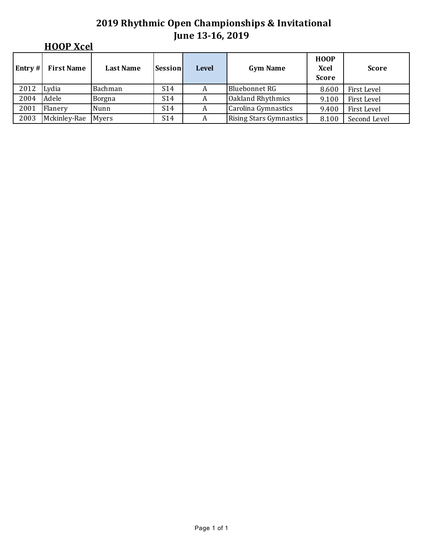|         | <b>HOOP Xcel</b>  |                  |                 |              |                                |                                     |              |  |  |  |  |  |
|---------|-------------------|------------------|-----------------|--------------|--------------------------------|-------------------------------------|--------------|--|--|--|--|--|
| Entry # | <b>First Name</b> | <b>Last Name</b> | Session         | <b>Level</b> | <b>Gym Name</b>                | <b>HOOP</b><br>Xcel<br><b>Score</b> | <b>Score</b> |  |  |  |  |  |
| 2012    | Lydia             | Bachman          | S <sub>14</sub> | A            | <b>Bluebonnet RG</b>           | 8.600                               | First Level  |  |  |  |  |  |
| 2004    | Adele             | <b>Borgna</b>    | S <sub>14</sub> | A            | Oakland Rhythmics              | 9.100                               | First Level  |  |  |  |  |  |
| 2001    | Flanery           | Nunn             | S <sub>14</sub> | A            | Carolina Gymnastics            | 9.400                               | First Level  |  |  |  |  |  |
| 2003    | Mckinley-Rae      | Myers            | S <sub>14</sub> | A            | <b>Rising Stars Gymnastics</b> | 8.100                               | Second Level |  |  |  |  |  |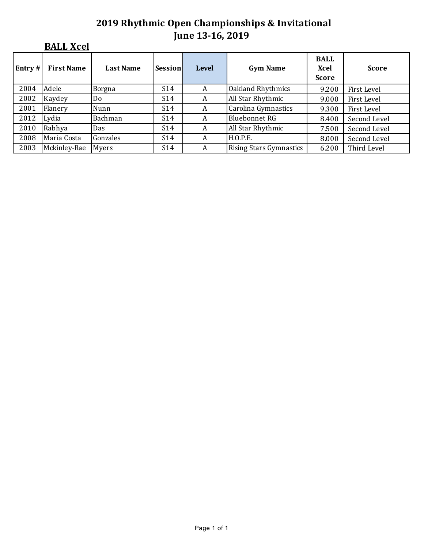## **BALL Xcel**

| Entry $#$ | <b>First Name</b> | <b>Last Name</b> | Session         | <b>Level</b> | <b>Gym Name</b>                | <b>BALL</b><br>Xcel<br><b>Score</b> | <b>Score</b> |
|-----------|-------------------|------------------|-----------------|--------------|--------------------------------|-------------------------------------|--------------|
| 2004      | Adele             | Borgna           | S <sub>14</sub> | A            | Oakland Rhythmics              | 9.200                               | First Level  |
| 2002      | Kaydey            | Do               | S14             | A            | All Star Rhythmic              | 9.000                               | First Level  |
| 2001      | Flanery           | Nunn             | S14             | A            | Carolina Gymnastics            | 9.300                               | First Level  |
| 2012      | Lydia             | Bachman          | S14             | A            | <b>Bluebonnet RG</b>           | 8.400                               | Second Level |
| 2010      | Rabhya            | Das              | S14             | A            | All Star Rhythmic              | 7.500                               | Second Level |
| 2008      | Maria Costa       | Gonzales         | S14             | A            | H.O.P.E.                       | 8.000                               | Second Level |
| 2003      | Mckinley-Rae      | Myers            | S14             | A            | <b>Rising Stars Gymnastics</b> | 6.200                               | Third Level  |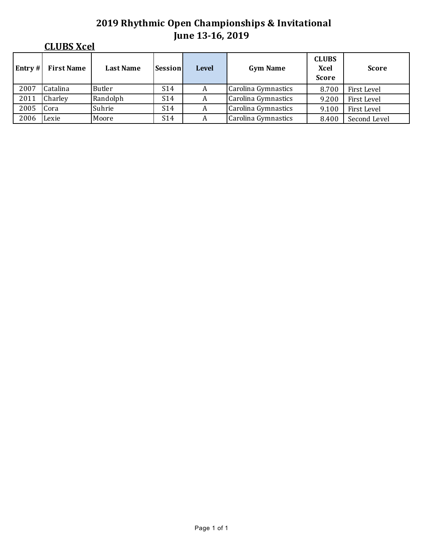|         | <b>CLUBS Xcel</b> |                  |                 |              |                     |                                      |              |  |  |  |  |  |
|---------|-------------------|------------------|-----------------|--------------|---------------------|--------------------------------------|--------------|--|--|--|--|--|
| Entry # | <b>First Name</b> | <b>Last Name</b> | Session         | <b>Level</b> | <b>Gym Name</b>     | <b>CLUBS</b><br>Xcel<br><b>Score</b> | <b>Score</b> |  |  |  |  |  |
| 2007    | Catalina          | Butler           | S <sub>14</sub> | A            | Carolina Gymnastics | 8.700                                | First Level  |  |  |  |  |  |
| 2011    | Charley           | Randolph         | S <sub>14</sub> | A            | Carolina Gymnastics | 9.200                                | First Level  |  |  |  |  |  |
| 2005    | Cora              | Suhrie           | S <sub>14</sub> | A            | Carolina Gymnastics | 9.100                                | First Level  |  |  |  |  |  |
| 2006    | Lexie             | Moore            | S <sub>14</sub> | A            | Carolina Gymnastics | 8.400                                | Second Level |  |  |  |  |  |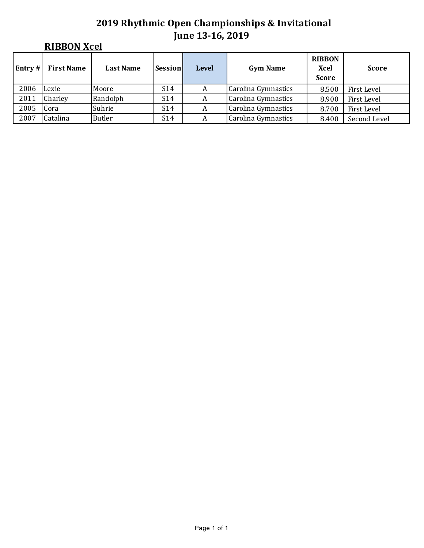|        | <b>RIBBON Xcel</b> |                  |                 |              |                     |                                       |              |  |  |  |  |
|--------|--------------------|------------------|-----------------|--------------|---------------------|---------------------------------------|--------------|--|--|--|--|
| Entry# | <b>First Name</b>  | <b>Last Name</b> | Session         | <b>Level</b> | <b>Gym Name</b>     | <b>RIBBON</b><br>Xcel<br><b>Score</b> | <b>Score</b> |  |  |  |  |
| 2006   | Lexie              | Moore            | S <sub>14</sub> | A            | Carolina Gymnastics | 8.500                                 | First Level  |  |  |  |  |
| 2011   | Charley            | Randolph         | S <sub>14</sub> | A            | Carolina Gymnastics | 8.900                                 | First Level  |  |  |  |  |
| 2005   | Cora               | Suhrie           | S <sub>14</sub> | A            | Carolina Gymnastics | 8.700                                 | First Level  |  |  |  |  |
| 2007   | Catalina           | <b>Butler</b>    | S <sub>14</sub> | A            | Carolina Gymnastics | 8.400                                 | Second Level |  |  |  |  |